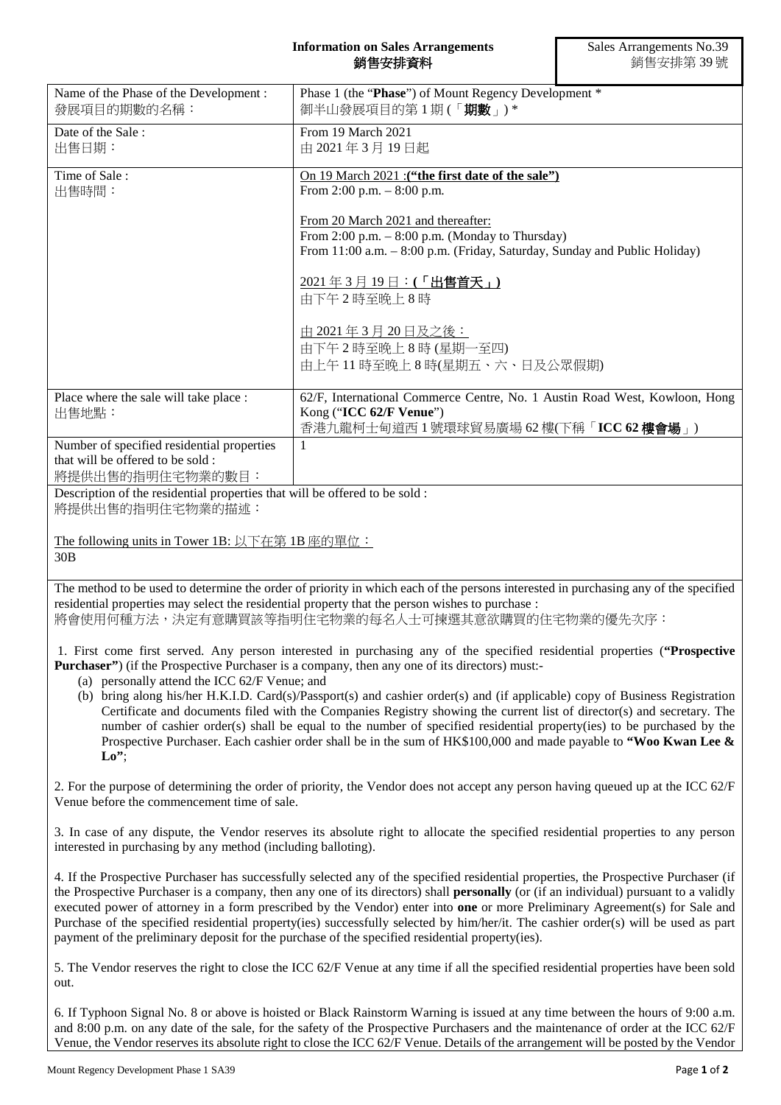## **Information on Sales Arrangements** 銷售安排資料

| Name of the Phase of the Development :<br>發展項目的期數的名稱:                                               | Phase 1 (the "Phase") of Mount Regency Development *<br>御半山發展項目的第1期(「 <b>期數</b> 」)*                                                                                                                                                                                                                                                                                                                                                                                                                                                                                                                                                                         |
|-----------------------------------------------------------------------------------------------------|-------------------------------------------------------------------------------------------------------------------------------------------------------------------------------------------------------------------------------------------------------------------------------------------------------------------------------------------------------------------------------------------------------------------------------------------------------------------------------------------------------------------------------------------------------------------------------------------------------------------------------------------------------------|
| Date of the Sale:<br>出售日期:                                                                          | From 19 March 2021<br>由 2021年3月19日起                                                                                                                                                                                                                                                                                                                                                                                                                                                                                                                                                                                                                         |
| Time of Sale:<br>出售時間:                                                                              | On 19 March 2021 : ("the first date of the sale")<br>From 2:00 p.m. - 8:00 p.m.                                                                                                                                                                                                                                                                                                                                                                                                                                                                                                                                                                             |
|                                                                                                     | From 20 March 2021 and thereafter:<br>From $2:00$ p.m. $-8:00$ p.m. (Monday to Thursday)<br>From 11:00 a.m. - 8:00 p.m. (Friday, Saturday, Sunday and Public Holiday)                                                                                                                                                                                                                                                                                                                                                                                                                                                                                       |
|                                                                                                     | 2021年3月19日:(「出售首天」)<br>由下午2時至晚上8時                                                                                                                                                                                                                                                                                                                                                                                                                                                                                                                                                                                                                           |
|                                                                                                     | <u>由 2021年3月20日及之後:</u><br>由下午2時至晚上8時(星期一至四)<br>由上午11時至晚上8時(星期五、六、日及公眾假期)                                                                                                                                                                                                                                                                                                                                                                                                                                                                                                                                                                                   |
| Place where the sale will take place :                                                              | 62/F, International Commerce Centre, No. 1 Austin Road West, Kowloon, Hong                                                                                                                                                                                                                                                                                                                                                                                                                                                                                                                                                                                  |
| 出售地點:                                                                                               | Kong ("ICC 62/F Venue")<br>香港九龍柯士甸道西1號環球貿易廣場 62樓(下稱「ICC 62樓會場」)                                                                                                                                                                                                                                                                                                                                                                                                                                                                                                                                                                                             |
| Number of specified residential properties<br>that will be offered to be sold :<br>將提供出售的指明住宅物業的數目: | 1                                                                                                                                                                                                                                                                                                                                                                                                                                                                                                                                                                                                                                                           |
| Description of the residential properties that will be offered to be sold :<br>將提供出售的指明住宅物業的描述:     |                                                                                                                                                                                                                                                                                                                                                                                                                                                                                                                                                                                                                                                             |
| The following units in Tower 1B: 以下在第 1B 座的單位:                                                      |                                                                                                                                                                                                                                                                                                                                                                                                                                                                                                                                                                                                                                                             |
| 30B                                                                                                 |                                                                                                                                                                                                                                                                                                                                                                                                                                                                                                                                                                                                                                                             |
|                                                                                                     | The method to be used to determine the order of priority in which each of the persons interested in purchasing any of the specified<br>residential properties may select the residential property that the person wishes to purchase :<br>將會使用何種方法,決定有意購買該等指明住宅物業的每名人士可揀選其意欲購買的住宅物業的優先次序:                                                                                                                                                                                                                                                                                                                                                                   |
| (a) personally attend the ICC 62/F Venue; and                                                       | 1. First come first served. Any person interested in purchasing any of the specified residential properties ("Prospective<br><b>Purchaser</b> ") (if the Prospective Purchaser is a company, then any one of its directors) must:-<br>(b) bring along his/her H.K.I.D. Card(s)/Passport(s) and cashier order(s) and (if applicable) copy of Business Registration<br>Certificate and documents filed with the Companies Registry showing the current list of director(s) and secretary. The                                                                                                                                                                 |
| $Lo$ ";                                                                                             | number of cashier order(s) shall be equal to the number of specified residential property(ies) to be purchased by the<br>Prospective Purchaser. Each cashier order shall be in the sum of HK\$100,000 and made payable to "Woo Kwan Lee &                                                                                                                                                                                                                                                                                                                                                                                                                   |
| Venue before the commencement time of sale.                                                         | 2. For the purpose of determining the order of priority, the Vendor does not accept any person having queued up at the ICC 62/F                                                                                                                                                                                                                                                                                                                                                                                                                                                                                                                             |
| interested in purchasing by any method (including balloting).                                       | 3. In case of any dispute, the Vendor reserves its absolute right to allocate the specified residential properties to any person                                                                                                                                                                                                                                                                                                                                                                                                                                                                                                                            |
|                                                                                                     | 4. If the Prospective Purchaser has successfully selected any of the specified residential properties, the Prospective Purchaser (if<br>the Prospective Purchaser is a company, then any one of its directors) shall <b>personally</b> (or (if an individual) pursuant to a validly<br>executed power of attorney in a form prescribed by the Vendor) enter into one or more Preliminary Agreement(s) for Sale and<br>Purchase of the specified residential property(ies) successfully selected by him/her/it. The cashier order(s) will be used as part<br>payment of the preliminary deposit for the purchase of the specified residential property(ies). |
| out.                                                                                                | 5. The Vendor reserves the right to close the ICC 62/F Venue at any time if all the specified residential properties have been sold                                                                                                                                                                                                                                                                                                                                                                                                                                                                                                                         |
|                                                                                                     | 6. If Typhoon Signal No. 8 or above is hoisted or Black Rainstorm Warning is issued at any time between the hours of 0.00 a.m.                                                                                                                                                                                                                                                                                                                                                                                                                                                                                                                              |

6. If Typhoon Signal No. 8 or above is hoisted or Black Rainstorm Warning is issued at any time between the hours of 9:00 a.m. and 8:00 p.m. on any date of the sale, for the safety of the Prospective Purchasers and the maintenance of order at the ICC 62/F Venue, the Vendor reserves its absolute right to close the ICC 62/F Venue. Details of the arrangement will be posted by the Vendor